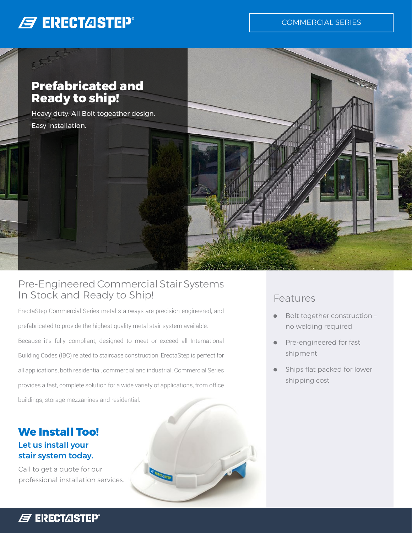# **B ERECTASTEP®**

other

COMMERCIAL SERIES



Heavy duty. All Bolt togeather design. Easy installation.



#### Pre-Engineered Commercial Stair Systems In Stock and Ready to Ship!

ErectaStep Commercial Series metal stairways are precision engineered, and prefabricated to provide the highest quality metal stair system available. Because it's fully compliant, designed to meet or exceed all International Building Codes (IBC) related to staircase construction, ErectaStep is perfect for all applications, both residential, commercial and industrial. Commercial Series provides a fast, complete solution for a wide variety of applications, from office buildings, storage mezzanines and residential.

**CENTRATION** 

#### **We Install Too!** Let us install your stair system today.

Call to get a quote for our professional installation services.

#### Features

- **•** Bolt together construction no welding required
- **•** Pre-engineered for fast shipment
- **•** Ships flat packed for lower shipping cost